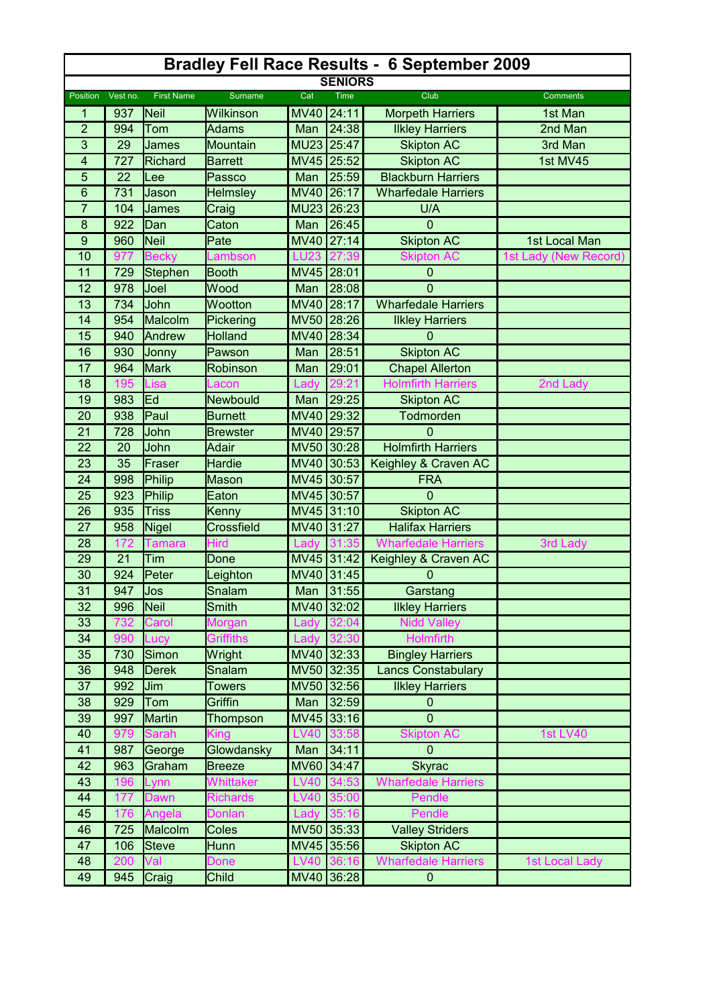| <b>Bradley Fell Race Results - 6 September 2009</b> |          |                   |                   |             |             |                            |                       |  |  |
|-----------------------------------------------------|----------|-------------------|-------------------|-------------|-------------|----------------------------|-----------------------|--|--|
| <b>SENIORS</b>                                      |          |                   |                   |             |             |                            |                       |  |  |
| <b>Position</b>                                     | Vest no. | <b>First Name</b> | <b>Surname</b>    | Cat         | <b>Time</b> | Club                       | <b>Comments</b>       |  |  |
| 1                                                   | 937      | Neil              | Wilkinson         | <b>MV40</b> | 24:11       | <b>Morpeth Harriers</b>    | 1st Man               |  |  |
| $\overline{2}$                                      | 994      | Tom               | <b>Adams</b>      | Man         | 24:38       | <b>Ilkley Harriers</b>     | 2nd Man               |  |  |
| 3                                                   | 29       | James             | Mountain          | MU23 25:47  |             | <b>Skipton AC</b>          | 3rd Man               |  |  |
| 4                                                   | 727      | Richard           | <b>Barrett</b>    | MV45 25:52  |             | <b>Skipton AC</b>          | 1st MV45              |  |  |
| 5                                                   | 22       | Lee               | Passco            | Man         | 25:59       | <b>Blackburn Harriers</b>  |                       |  |  |
| 6                                                   | 731      | Jason             | <b>Helmsley</b>   | <b>MV40</b> | 26:17       | <b>Wharfedale Harriers</b> |                       |  |  |
| $\overline{7}$                                      | 104      | James             | Craig             | MU23 26:23  |             | U/A                        |                       |  |  |
| 8                                                   | 922      | Dan               | Caton             | Man         | 26:45       | $\Omega$                   |                       |  |  |
| $\boldsymbol{9}$                                    | 960      | Neil              | Pate              | <b>MV40</b> | 27:14       | <b>Skipton AC</b>          | 1st Local Man         |  |  |
| 10                                                  | 977      | <b>Becky</b>      | Lambson           | <b>LU23</b> |             | <b>Skipton AC</b>          | 1st Lady (New Record) |  |  |
| 11                                                  | 729      | <b>Stephen</b>    | <b>Booth</b>      | <b>MV45</b> | 28:01       | $\mathbf 0$                |                       |  |  |
| 12                                                  | 978      | Joel              | Wood              | Man         | 28:08       | 0                          |                       |  |  |
| 13                                                  | 734      | John              | Wootton           | <b>MV40</b> | 28:17       | <b>Wharfedale Harriers</b> |                       |  |  |
| 14                                                  | 954      | Malcolm           | Pickering         | <b>MV50</b> | 28:26       | <b>Ilkley Harriers</b>     |                       |  |  |
| 15                                                  | 940      | Andrew            | <b>Holland</b>    | <b>MV40</b> | 28:34       | $\Omega$                   |                       |  |  |
| 16                                                  | 930      | Jonny             | Pawson            | Man         | 28:51       | <b>Skipton AC</b>          |                       |  |  |
| 17                                                  | 964      | <b>Mark</b>       | Robinson          | Man         | 29:01       | <b>Chapel Allerton</b>     |                       |  |  |
| 18                                                  | 195      | Lisa              | .acon             | _ady        |             | <b>Holmfirth Harriers</b>  | 2nd Lady              |  |  |
| 19                                                  | 983      | Ed                | Newbould          | Man         | 29:25       | <b>Skipton AC</b>          |                       |  |  |
| 20                                                  | 938      | Paul              | <b>Burnett</b>    | <b>MV40</b> | 29:32       | Todmorden                  |                       |  |  |
| 21                                                  | 728      | John              | <b>Brewster</b>   | <b>MV40</b> | 29:57       | 0                          |                       |  |  |
| 22                                                  | 20       | John              | Adair             | MV50 30:28  |             | <b>Holmfirth Harriers</b>  |                       |  |  |
| 23                                                  | 35       | Fraser            | Hardie            | <b>MV40</b> | 30:53       | Keighley & Craven AC       |                       |  |  |
| 24                                                  | 998      | Philip            | <b>Mason</b>      | MV45 30:57  |             | <b>FRA</b>                 |                       |  |  |
| 25                                                  | 923      | Philip            | Eaton             | MV45 30:57  |             | $\overline{0}$             |                       |  |  |
| 26                                                  | 935      | <b>Triss</b>      | Kenny             | MV45 31:10  |             | <b>Skipton AC</b>          |                       |  |  |
| 27                                                  | 958      | Nigel             | <b>Crossfield</b> | MV40 31:27  |             | <b>Halifax Harriers</b>    |                       |  |  |
| 28                                                  | 172      | Tamara            | Hird              | Lady        |             | <b>Wharfedale Harriers</b> | 3rd Lady              |  |  |
| 29                                                  | 21       | Tim               | Done              |             | MV45 31:42  | Keighley & Craven AC       |                       |  |  |
| 30                                                  | 924      | Peter             | Leighton          | <b>MV40</b> | 31:45       | 0                          |                       |  |  |
| 31                                                  | 947      | <b>Jos</b>        | Snalam            |             | Man 31:55   | Garstang                   |                       |  |  |
| 32                                                  | 996      | Neil              | <b>Smith</b>      |             | MV40 32:02  | <b>Ilkley Harriers</b>     |                       |  |  |
| 33                                                  | 732      | Carol             | Morgan            | Lady        | 32:04       | <b>Nidd Valley</b>         |                       |  |  |
| 34                                                  | 990      | Lucy              | Griffiths         |             | Lady 32:30  | <b>Holmfirth</b>           |                       |  |  |
| 35                                                  | 730      | Simon             | Wright            |             | MV40 32:33  | <b>Bingley Harriers</b>    |                       |  |  |
| 36                                                  | 948      | <b>Derek</b>      | Snalam            | MV50 32:35  |             | <b>Lancs Constabulary</b>  |                       |  |  |
| 37                                                  | 992      | Jim               | <b>Towers</b>     | <b>MV50</b> | 32:56       | <b>Ilkley Harriers</b>     |                       |  |  |
| 38                                                  | 929      | Tom               | Griffin           | Man         | 32:59       | $\boldsymbol{0}$           |                       |  |  |
| 39                                                  | 997      | <b>Martin</b>     | Thompson          | MV45        | 33:16       | $\mathbf 0$                |                       |  |  |
| 40                                                  | 979      | Sarah             | <b>King</b>       | <b>LV40</b> |             | <b>Skipton AC</b>          | <b>1st LV40</b>       |  |  |
| 41                                                  | 987      | George            | Glowdansky        | Man         | 34:11       | $\overline{0}$             |                       |  |  |
| 42                                                  | 963      | Graham            | <b>Breeze</b>     | <b>MV60</b> | 34:47       | <b>Skyrac</b>              |                       |  |  |
| 43                                                  | 196      | Lynn              | Whittaker         | <b>LV40</b> | 34:53       | <b>Wharfedale Harriers</b> |                       |  |  |
| 44                                                  | 177      | Dawn              | <b>Richards</b>   | <b>LV40</b> | 35:00       | Pendle                     |                       |  |  |
| 45                                                  | 176      | Angela            | Donlan            | Lady        | 35:16       | Pendle                     |                       |  |  |
| 46                                                  | 725      | Malcolm           | Coles             |             | MV50 35:33  | <b>Valley Striders</b>     |                       |  |  |
| 47                                                  | 106      | <b>Steve</b>      | Hunn              |             | MV45 35:56  | <b>Skipton AC</b>          |                       |  |  |
| 48                                                  | 200      | Val               | Done              | <b>LV40</b> | 36:16       | <b>Wharfedale Harriers</b> | <b>1st Local Lady</b> |  |  |
| 49                                                  | 945      | Craig             | <b>Child</b>      |             | MV40 36:28  | $\boldsymbol{0}$           |                       |  |  |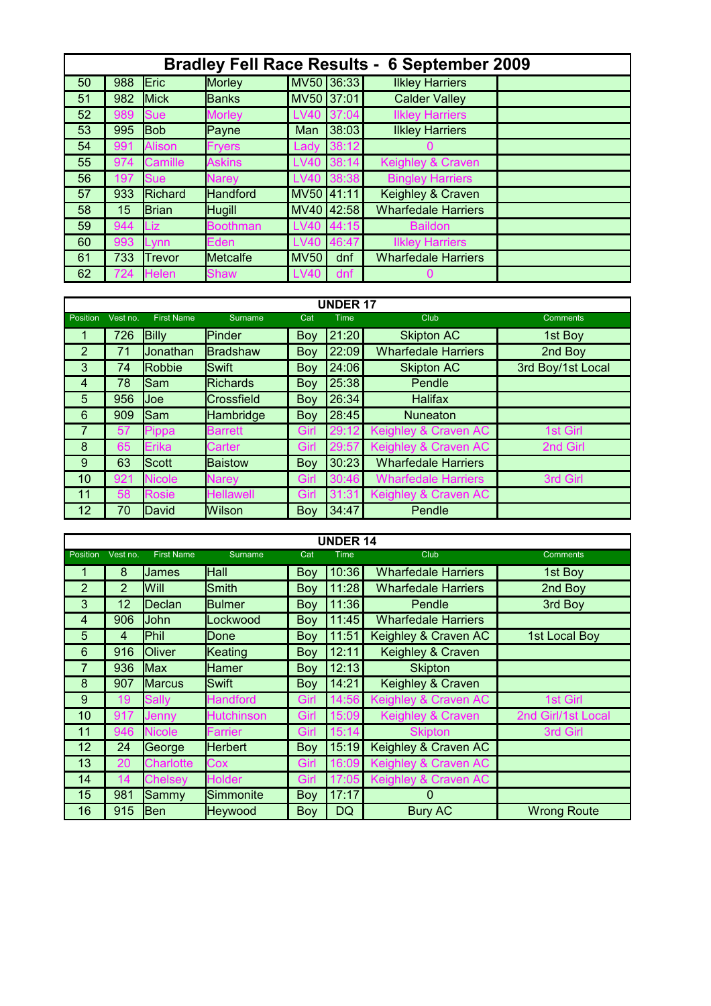| <b>Bradley Fell Race Results</b><br>6 September 2009 |     |                |                 |             |            |                            |  |  |
|------------------------------------------------------|-----|----------------|-----------------|-------------|------------|----------------------------|--|--|
| 50                                                   | 988 | Eric           | Morley          |             | MV50 36:33 | <b>Ilkley Harriers</b>     |  |  |
| 51                                                   | 982 | Mick           | Banks           | MV50 37:01  |            | <b>Calder Valley</b>       |  |  |
| 52                                                   | 989 | <b>Sue</b>     | <b>Morley</b>   | LV40        | 137:04     | <b>Ilkley Harriers</b>     |  |  |
| 53                                                   | 995 | <b>Bob</b>     | Payne           | Man         | 38:03      | <b>Ilkley Harriers</b>     |  |  |
| 54                                                   | 991 | <b>Alison</b>  | <b>Fryers</b>   | Lady        | 38:12      |                            |  |  |
| 55                                                   | 974 | <b>Camille</b> | <b>Askins</b>   | LV40        | 38:14      | Keighley & Craven          |  |  |
| 56                                                   | 197 | <b>Sue</b>     | <b>Narey</b>    | <b>LV40</b> | 38:38      | <b>Bingley Harriers</b>    |  |  |
| 57                                                   | 933 | Richard        | <b>Handford</b> | MV50 41:11  |            | Keighley & Craven          |  |  |
| 58                                                   | 15  | Brian          | <b>Hugill</b>   |             | MV40 42:58 | <b>Wharfedale Harriers</b> |  |  |
| 59                                                   | 944 | Liz.           | <b>Boothman</b> | <b>LV40</b> | 44:15      | <b>Baildon</b>             |  |  |
| 60                                                   | 993 | Lynn           | Eden            | <b>LV40</b> | 46:47      | <b>Ilkley Harriers</b>     |  |  |
| 61                                                   | 733 | <b>Trevor</b>  | Metcalfe        | <b>MV50</b> | dnf        | <b>Wharfedale Harriers</b> |  |  |
| 62                                                   | 724 | <b>Helen</b>   | <b>Shaw</b>     | <b>LV40</b> | dnf        |                            |  |  |

| <b>UNDER 17</b> |          |                   |                  |            |             |                            |                   |  |  |
|-----------------|----------|-------------------|------------------|------------|-------------|----------------------------|-------------------|--|--|
| Position        | Vest no. | <b>First Name</b> | <b>Surname</b>   | Cat        | <b>Time</b> | Club                       | <b>Comments</b>   |  |  |
| 1               | 726      | <b>Billy</b>      | Pinder           | Boy        | 21:20       | <b>Skipton AC</b>          | 1st Boy           |  |  |
| 2               | 71       | Jonathan          | Bradshaw         | Boy        | 22:09       | <b>Wharfedale Harriers</b> | 2nd Boy           |  |  |
| 3               | 74       | Robbie            | <b>Swift</b>     | Boy        | 24:06       | <b>Skipton AC</b>          | 3rd Boy/1st Local |  |  |
| $\overline{4}$  | 78       | Sam               | <b>Richards</b>  | Boy        | 25:38       | Pendle                     |                   |  |  |
| 5               | 956      | lJoe.             | Crossfield       | <b>Boy</b> | 26:34       | <b>Halifax</b>             |                   |  |  |
| 6               | 909      | lSam              | Hambridge        | Boy        | 28:45       | <b>Nuneaton</b>            |                   |  |  |
| 7               | 57       | Pippa             | <b>Barrett</b>   | Girl       | 29:12       | Keighley & Craven AC       | 1st Girl          |  |  |
| 8               | 65       | <b>Erika</b>      | Carter           | Girl       | 29:57       | Keighley & Craven AC       | 2nd Girl          |  |  |
| 9               | 63       | Scott             | <b>Baistow</b>   | Boy        | 30:23       | <b>Wharfedale Harriers</b> |                   |  |  |
| 10              | 921      | <b>Nicole</b>     | <b>Narey</b>     | Girl       | 30:46       | <b>Wharfedale Harriers</b> | 3rd Girl          |  |  |
| 11              | 58       | <b>Rosie</b>      | <b>Hellawell</b> | Girl       | 31:31       | Keighley & Craven AC       |                   |  |  |
| 12              | 70       | David             | Wilson           | Boy        | 34:47       | Pendle                     |                   |  |  |

| <b>UNDER 14</b> |                |                   |                   |      |             |                            |                    |  |  |
|-----------------|----------------|-------------------|-------------------|------|-------------|----------------------------|--------------------|--|--|
| Position        | Vest no.       | <b>First Name</b> | Surname           | Cat  | <b>Time</b> | Club                       | <b>Comments</b>    |  |  |
|                 | 8              | James             | Hall              | Boy  | 10:36       | <b>Wharfedale Harriers</b> | 1st Boy            |  |  |
| $\overline{2}$  | $\overline{2}$ | Will              | Smith             | Boy  | 11:28       | <b>Wharfedale Harriers</b> | 2nd Boy            |  |  |
| 3               | 12             | Declan            | <b>Bulmer</b>     | Boy  | 11:36       | Pendle                     | 3rd Boy            |  |  |
| $\overline{4}$  | 906            | John              | Lockwood          | Boy  | 11:45       | <b>Wharfedale Harriers</b> |                    |  |  |
| 5               | 4              | Phil              | Done              | Boy  | 11:51       | Keighley & Craven AC       | 1st Local Boy      |  |  |
| 6               | 916            | Oliver            | Keating           | Boy  | 12:11       | Keighley & Craven          |                    |  |  |
| 7               | 936            | <b>Max</b>        | <b>Hamer</b>      | Boy  | 12:13       | <b>Skipton</b>             |                    |  |  |
| 8               | 907            | <b>Marcus</b>     | Swift             | Boy  | 14:21       | Keighley & Craven          |                    |  |  |
| 9               | 19             | <b>Sally</b>      | <b>Handford</b>   | Girl | 14:56       | Keighley & Craven AC       | 1st Girl           |  |  |
| 10              | 917            | Jennv             | <b>Hutchinson</b> | Girl | 15:09       | Keighley & Craven          | 2nd Girl/1st Local |  |  |
| 11              | 946            | <b>Nicole</b>     | Farrier           | Girl | 15:14       | <b>Skipton</b>             | 3rd Girl           |  |  |
| 12              | 24             | George            | <b>Herbert</b>    | Boy  | 15:19       | Keighley & Craven AC       |                    |  |  |
| 13              | 20             | <b>Charlotte</b>  | Cox               | Girl | 16:09       | Keighley & Craven AC       |                    |  |  |
| 14              | 14             | <b>Chelsey</b>    | <b>Holder</b>     | Girl | 17:05       | Keighley & Craven AC       |                    |  |  |
| 15              | 981            | Sammy             | Simmonite         | Boy  | 17:17       | $\Omega$                   |                    |  |  |
| 16              | 915            | Ben               | <b>Heywood</b>    | Boy  | DQ          | Bury AC                    | <b>Wrong Route</b> |  |  |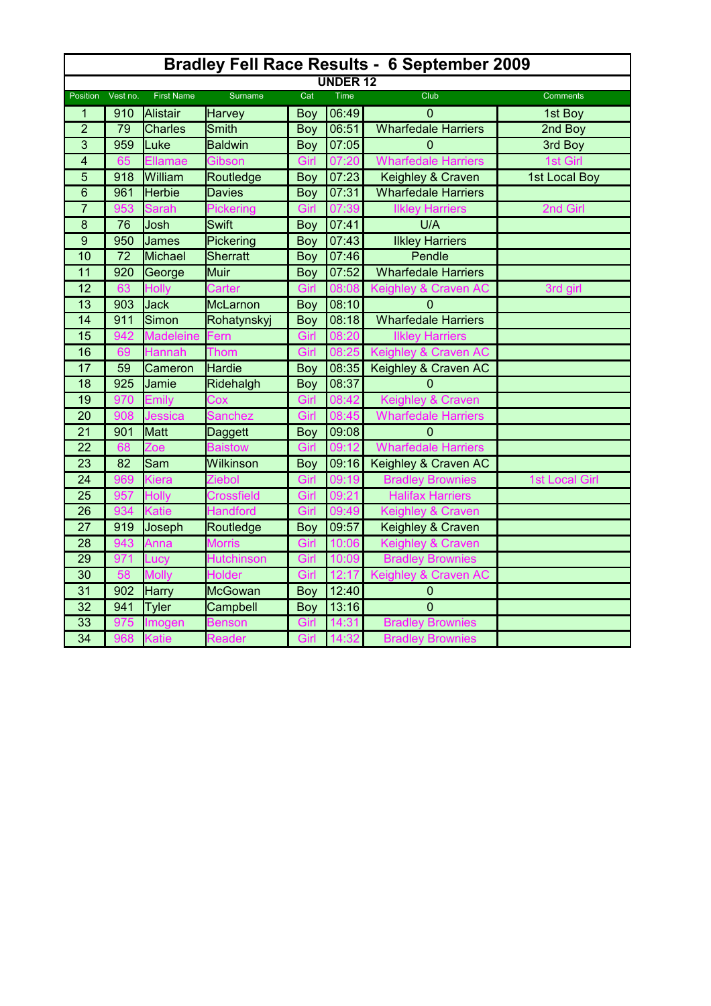| <b>Bradley Fell Race Results - 6 September 2009</b> |          |                   |                   |            |             |                            |                       |  |  |
|-----------------------------------------------------|----------|-------------------|-------------------|------------|-------------|----------------------------|-----------------------|--|--|
| <b>UNDER 12</b>                                     |          |                   |                   |            |             |                            |                       |  |  |
| Position                                            | Vest no. | <b>First Name</b> | <b>Surname</b>    | Cat        | <b>Time</b> | Club                       | <b>Comments</b>       |  |  |
| 1                                                   | 910      | <b>Alistair</b>   | <b>Harvey</b>     | <b>Boy</b> | 06:49       | $\mathbf{0}$               | 1st Boy               |  |  |
| $\overline{2}$                                      | 79       | <b>Charles</b>    | <b>Smith</b>      | Boy        | 06:51       | <b>Wharfedale Harriers</b> | 2nd Boy               |  |  |
| 3                                                   | 959      | Luke              | <b>Baldwin</b>    | Boy        | 07:05       | 0                          | 3rd Boy               |  |  |
| $\overline{\mathbf{4}}$                             | 65       | Ellamae           | Gibson            | Girl       | 20<br>07    | <b>Wharfedale Harriers</b> | 1st Girl              |  |  |
| 5                                                   | 918      | William           | Routledge         | <b>Boy</b> | 07:23       | Keighley & Craven          | 1st Local Boy         |  |  |
| $6\phantom{1}6$                                     | 961      | <b>Herbie</b>     | <b>Davies</b>     | Boy        | 07:31       | <b>Wharfedale Harriers</b> |                       |  |  |
| $\overline{7}$                                      | 953      | <b>Sarah</b>      | Pickering         | Girl       | 07<br>:39   | <b>Ilkley Harriers</b>     | 2nd Girl              |  |  |
| 8                                                   | 76       | Josh              | <b>Swift</b>      | Boy        | 07:41       | U/A                        |                       |  |  |
| $9$                                                 | 950      | James             | Pickering         | <b>Boy</b> | 07:43       | <b>Ilkley Harriers</b>     |                       |  |  |
| 10                                                  | 72       | Michael           | Sherratt          | <b>Boy</b> | 07:46       | Pendle                     |                       |  |  |
| 11                                                  | 920      | George            | Muir              | <b>Boy</b> | 07:52       | <b>Wharfedale Harriers</b> |                       |  |  |
| 12                                                  | 63       | Holly             | Carter            | Girl       | 08:08       | Keighley & Craven AC       | 3rd girl              |  |  |
| 13                                                  | 903      | <b>Jack</b>       | McLarnon          | <b>Boy</b> | 08:10       | $\Omega$                   |                       |  |  |
| 14                                                  | 911      | Simon             | Rohatynskyj       | Boy        | 08:18       | <b>Wharfedale Harriers</b> |                       |  |  |
| 15                                                  | 942      | <b>Madeleine</b>  | Fern              | Girl       | 08:20       | <b>Ilkley Harriers</b>     |                       |  |  |
| 16                                                  | 69       | <b>Hannah</b>     | Thom              | Girl       | 08:25       | Keighley & Craven AC       |                       |  |  |
| 17                                                  | 59       | Cameron           | Hardie            | <b>Boy</b> | 08:35       | Keighley & Craven AC       |                       |  |  |
| 18                                                  | 925      | Jamie             | Ridehalgh         | <b>Boy</b> | 08:37       | $\Omega$                   |                       |  |  |
| 19                                                  | 970      | Emily             | Cox               | Girl       | 08:42       | Keighley & Craven          |                       |  |  |
| 20                                                  | 908      | Jessica           | Sanchez           | Girl       | 08:45       | <b>Wharfedale Harriers</b> |                       |  |  |
| 21                                                  | 901      | Matt              | Daggett           | Boy        | 09:08       | $\Omega$                   |                       |  |  |
| $\overline{22}$                                     | 68       | Zoe               | <b>Baistow</b>    | Girl       | 09          | <b>Wharfedale Harriers</b> |                       |  |  |
| 23                                                  | 82       | Sam               | Wilkinson         | Boy        | 09:16       | Keighley & Craven AC       |                       |  |  |
| $\overline{24}$                                     | 969      | Kiera             | Ziebol            | Girl       | 09:19       | <b>Bradley Brownies</b>    | <b>1st Local Girl</b> |  |  |
| 25                                                  | 957      | Holly             | <b>Crossfield</b> | Girl       | 09:21       | <b>Halifax Harriers</b>    |                       |  |  |
| 26                                                  | 934      | Katie             | <b>Handford</b>   | Girl       | 09:49       | Keighley & Craven          |                       |  |  |
| 27                                                  | 919      | Joseph            | Routledge         | <b>Boy</b> | 09:57       | Keighley & Craven          |                       |  |  |
| 28                                                  | 943      | Anna              | <b>Morris</b>     | Girl       | 10:06       | Keighley & Craven          |                       |  |  |
| 29                                                  | 971      | Lucy              | <b>Hutchinson</b> | Girl       | 10:09       | <b>Bradley Brownies</b>    |                       |  |  |
| 30                                                  | 58       | <b>Molly</b>      | <b>Holder</b>     | Girl       | 12:17       | Keighley & Craven AC       |                       |  |  |
| 31                                                  | 902      | Harry             | McGowan           | Boy        | 12:40       | $\mathbf 0$                |                       |  |  |
| 32                                                  | 941      | <b>Tyler</b>      | Campbell          | <b>Boy</b> | 13:16       | $\overline{0}$             |                       |  |  |
| 33                                                  | 975      | Imogen            | <b>Benson</b>     | Girl       | 14:31       | <b>Bradley Brownies</b>    |                       |  |  |
| $\overline{34}$                                     | 968      | <b>Katie</b>      | Reader            | Girl       | 14:32       | <b>Bradley Brownies</b>    |                       |  |  |